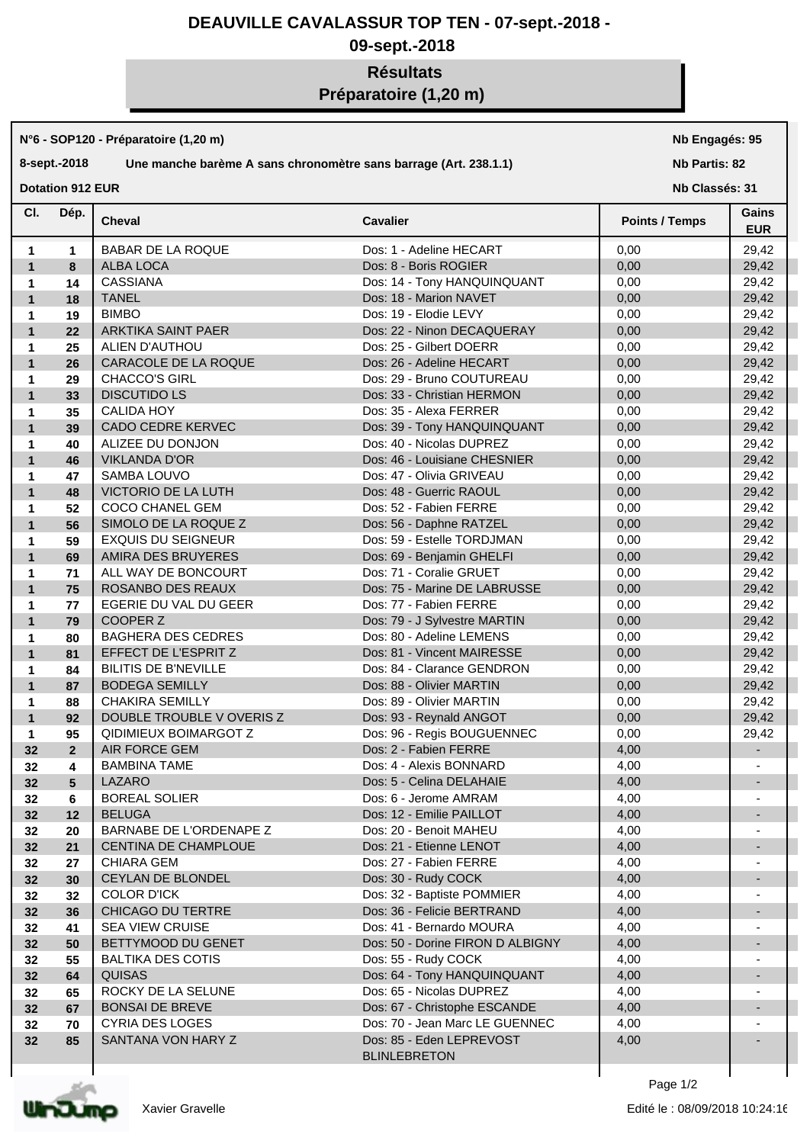## **DEAUVILLE CAVALASSUR TOP TEN - 07-sept.-2018 -**

## **09-sept.-2018**

# **Résultats Préparatoire (1,20 m)**

#### **N°6 - SOP120 - Préparatoire (1,20 m)**

#### **8-sept.-2018 Une manche barème A sans chronomètre sans barrage (Art. 238.1.1)**

**Nb Engagés: 95**

#### **Nb Partis: 82**

**Dotation 912 EUR** 

**Nb Classés: 31** 

| CI.          | Dép.           | <b>Cheval</b>                | <b>Cavalier</b>                                 | <b>Points / Temps</b> | Gains<br><b>EUR</b>      |
|--------------|----------------|------------------------------|-------------------------------------------------|-----------------------|--------------------------|
| 1            | 1              | <b>BABAR DE LA ROQUE</b>     | Dos: 1 - Adeline HECART                         | 0,00                  | 29,42                    |
| $\mathbf{1}$ | 8              | <b>ALBA LOCA</b>             | Dos: 8 - Boris ROGIER                           | 0,00                  | 29,42                    |
| 1            | 14             | <b>CASSIANA</b>              | Dos: 14 - Tony HANQUINQUANT                     | 0,00                  | 29,42                    |
| $\mathbf{1}$ | 18             | <b>TANEL</b>                 | Dos: 18 - Marion NAVET                          | 0,00                  | 29,42                    |
| 1            | 19             | <b>BIMBO</b>                 | Dos: 19 - Elodie LEVY                           | 0,00                  | 29,42                    |
| $\mathbf{1}$ | 22             | ARKTIKA SAINT PAER           | Dos: 22 - Ninon DECAQUERAY                      | 0,00                  | 29,42                    |
| 1            | 25             | ALIEN D'AUTHOU               | Dos: 25 - Gilbert DOERR                         | 0,00                  | 29,42                    |
| $\mathbf{1}$ | 26             | CARACOLE DE LA ROQUE         | Dos: 26 - Adeline HECART                        | 0,00                  | 29,42                    |
|              |                |                              |                                                 |                       |                          |
| 1            | 29             | <b>CHACCO'S GIRL</b>         | Dos: 29 - Bruno COUTUREAU                       | 0,00                  | 29,42                    |
| $\mathbf{1}$ | 33             | <b>DISCUTIDO LS</b>          | Dos: 33 - Christian HERMON                      | 0,00                  | 29,42                    |
| 1            | 35             | <b>CALIDA HOY</b>            | Dos: 35 - Alexa FERRER                          | 0,00                  | 29,42                    |
| $\mathbf{1}$ | 39             | <b>CADO CEDRE KERVEC</b>     | Dos: 39 - Tony HANQUINQUANT                     | 0,00                  | 29,42                    |
| 1            | 40             | ALIZEE DU DONJON             | Dos: 40 - Nicolas DUPREZ                        | 0,00                  | 29,42                    |
| $\mathbf{1}$ | 46             | <b>VIKLANDA D'OR</b>         | Dos: 46 - Louisiane CHESNIER                    | 0,00                  | 29,42                    |
| 1            | 47             | SAMBA LOUVO                  | Dos: 47 - Olivia GRIVEAU                        | 0,00                  | 29,42                    |
| $\mathbf{1}$ | 48             | VICTORIO DE LA LUTH          | Dos: 48 - Guerric RAOUL                         | 0,00                  | 29,42                    |
| 1            | 52             | COCO CHANEL GEM              | Dos: 52 - Fabien FERRE                          | 0,00                  | 29,42                    |
| $\mathbf{1}$ | 56             | SIMOLO DE LA ROQUE Z         | Dos: 56 - Daphne RATZEL                         | 0,00                  | 29,42                    |
| 1            | 59             | <b>EXQUIS DU SEIGNEUR</b>    | Dos: 59 - Estelle TORDJMAN                      | 0,00                  | 29,42                    |
| $\mathbf{1}$ | 69             | AMIRA DES BRUYERES           | Dos: 69 - Benjamin GHELFI                       | 0,00                  | 29,42                    |
| 1            | 71             | ALL WAY DE BONCOURT          | Dos: 71 - Coralie GRUET                         | 0,00                  | 29,42                    |
| $\mathbf{1}$ | 75             | ROSANBO DES REAUX            | Dos: 75 - Marine DE LABRUSSE                    | 0,00                  | 29,42                    |
| 1            | 77             | EGERIE DU VAL DU GEER        | Dos: 77 - Fabien FERRE                          | 0,00                  | 29,42                    |
| $\mathbf{1}$ | 79             | COOPER Z                     | Dos: 79 - J Sylvestre MARTIN                    | 0,00                  | 29,42                    |
| 1            | 80             | <b>BAGHERA DES CEDRES</b>    | Dos: 80 - Adeline LEMENS                        | 0,00                  | 29,42                    |
| $\mathbf{1}$ | 81             | EFFECT DE L'ESPRITZ          | Dos: 81 - Vincent MAIRESSE                      | 0,00                  | 29,42                    |
| 1            | 84             | <b>BILITIS DE B'NEVILLE</b>  | Dos: 84 - Clarance GENDRON                      | 0,00                  | 29,42                    |
| $\mathbf{1}$ | 87             | <b>BODEGA SEMILLY</b>        | Dos: 88 - Olivier MARTIN                        | 0,00                  | 29,42                    |
| 1            | 88             | <b>CHAKIRA SEMILLY</b>       | Dos: 89 - Olivier MARTIN                        | 0,00                  | 29,42                    |
| $\mathbf{1}$ | 92             | DOUBLE TROUBLE V OVERIS Z    | Dos: 93 - Reynald ANGOT                         | 0,00                  | 29,42                    |
|              | 95             | <b>QIDIMIEUX BOIMARGOT Z</b> | Dos: 96 - Regis BOUGUENNEC                      | 0,00                  | 29,42                    |
| 1<br>32      | 2 <sup>1</sup> | AIR FORCE GEM                | Dos: 2 - Fabien FERRE                           | 4,00                  |                          |
|              |                |                              |                                                 |                       |                          |
| 32           | 4              | <b>BAMBINA TAME</b>          | Dos: 4 - Alexis BONNARD                         | 4,00                  |                          |
| 32           | 5              | <b>LAZARO</b>                | Dos: 5 - Celina DELAHAIE                        | 4,00                  |                          |
| 32           | 6              | <b>BOREAL SOLIER</b>         | Dos: 6 - Jerome AMRAM                           | 4,00                  |                          |
| 32           | 12             | <b>BELUGA</b>                | Dos: 12 - Emilie PAILLOT                        | 4,00                  |                          |
| 32           | 20             | BARNABE DE L'ORDENAPE Z      | Dos: 20 - Benoit MAHEU                          | 4,00                  |                          |
| 32           | 21             | CENTINA DE CHAMPLOUE         | Dos: 21 - Etienne LENOT                         | 4,00                  |                          |
| 32           | 27             | <b>CHIARA GEM</b>            | Dos: 27 - Fabien FERRE                          | 4,00                  |                          |
| 32           | 30             | CEYLAN DE BLONDEL            | Dos: 30 - Rudy COCK                             | 4,00                  |                          |
| 32           | 32             | <b>COLOR D'ICK</b>           | Dos: 32 - Baptiste POMMIER                      | 4,00                  |                          |
| 32           | 36             | CHICAGO DU TERTRE            | Dos: 36 - Felicie BERTRAND                      | 4,00                  |                          |
| 32           | 41             | <b>SEA VIEW CRUISE</b>       | Dos: 41 - Bernardo MOURA                        | 4,00                  |                          |
| 32           | 50             | BETTYMOOD DU GENET           | Dos: 50 - Dorine FIRON D ALBIGNY                | 4,00                  |                          |
| 32           | 55             | <b>BALTIKA DES COTIS</b>     | Dos: 55 - Rudy COCK                             | 4,00                  |                          |
| 32           | 64             | <b>QUISAS</b>                | Dos: 64 - Tony HANQUINQUANT                     | 4,00                  | -                        |
| 32           | 65             | ROCKY DE LA SELUNE           | Dos: 65 - Nicolas DUPREZ                        | 4,00                  |                          |
| 32           | 67             | <b>BONSAI DE BREVE</b>       | Dos: 67 - Christophe ESCANDE                    | 4,00                  | $\overline{\phantom{a}}$ |
| 32           | 70             | <b>CYRIA DES LOGES</b>       | Dos: 70 - Jean Marc LE GUENNEC                  | 4,00                  |                          |
| 32           | 85             | SANTANA VON HARY Z           | Dos: 85 - Eden LEPREVOST<br><b>BLINLEBRETON</b> | 4,00                  |                          |



Page 1/2